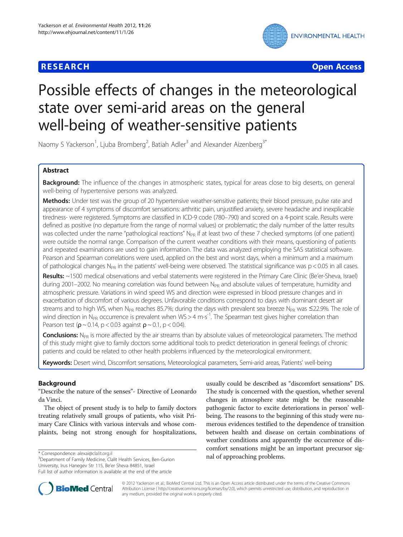# **RESEARCH CHE Open Access**



# Possible effects of changes in the meteorological state over semi-arid areas on the general well-being of weather-sensitive patients

Naomy S Yackerson<sup>1</sup>, Ljuba Bromberg<sup>2</sup>, Batiah Adler<sup>3</sup> and Alexander Aizenberg<sup>3\*</sup>

# Abstract

Background: The influence of the changes in atmospheric states, typical for areas close to big deserts, on general well-being of hypertensive persons was analyzed.

Methods: Under test was the group of 20 hypertensive weather-sensitive patients; their blood pressure, pulse rate and appearance of 4 symptoms of discomfort sensations: arthritic pain, unjustified anxiety, severe headache and inexplicable tiredness- were registered. Symptoms are classified in ICD-9 code (780–790) and scored on a 4-point scale. Results were defined as positive (no departure from the range of normal values) or problematic; the daily number of the latter results was collected under the name "pathological reactions"  $N_{PR}$  if at least two of these 7 checked symptoms (of one patient) were outside the normal range. Comparison of the current weather conditions with their means, questioning of patients and repeated examinations are used to gain information. The data was analyzed employing the SAS statistical software. Pearson and Spearman correlations were used, applied on the best and worst days, when a minimum and a maximum of pathological changes N<sub>PR</sub> in the patients' well-being were observed. The statistical significance was  $p < 0.05$  in all cases.

Results: ~1500 medical observations and verbal statements were registered in the Primary Care Clinic (Be'er-Sheva, Israel) during 2001–2002. No meaning correlation was found between N<sub>PR</sub> and absolute values of temperature, humidity and atmospheric pressure. Variations in wind speed WS and direction were expressed in blood pressure changes and in exacerbation of discomfort of various degrees. Unfavorable conditions correspond to days with dominant desert air streams and to high WS, when N<sub>PR</sub> reaches 85.7%; during the days with prevalent sea breeze N<sub>PR</sub> was ≤22.9%. The role of wind direction in N<sub>PR</sub> occurrence is prevalent when WS > 4 m·s<sup>-1</sup>. The Spearman test gives higher correlation than Pearson test ( $\rho \sim 0.14$ , p < 0.03 against  $\rho \sim 0.1$ , p < 0.04).

Conclusions: N<sub>PR</sub> is more affected by the air streams than by absolute values of meteorological parameters. The method of this study might give to family doctors some additional tools to predict deterioration in general feelings of chronic patients and could be related to other health problems influenced by the meteorological environment.

Keywords: Desert wind, Discomfort sensations, Meteorological parameters, Semi-arid areas, Patients' well-being

# **Background**

"Describe the nature of the senses"- Directive of Leonardo da Vinci.

The object of present study is to help to family doctors treating relatively small groups of patients, who visit Primary Care Clinics with various intervals and whose complaints, being not strong enough for hospitalizations,

<sup>3</sup>Department of Family Medicine, Clalit Health Services, Ben-Gurion University, Irus Hanegev Str 115, Be'er Sheva 84851, Israel

usually could be described as "discomfort sensations" DS. The study is concerned with the question, whether several changes in atmosphere state might be the reasonable pathogenic factor to excite deteriorations in person' wellbeing. The reasons to the beginning of this study were numerous evidences testified to the dependence of transition between health and disease on certain combinations of weather conditions and apparently the occurrence of discomfort sensations might be an important precursor sig\* Correspondence: [alexai@clalit.org.il](mailto:alexai@clalit.org.il)<br><sup>3</sup> Denartment of Family Medicine Clalit Health Services Ren-Gurion **and of approaching problems.** 



© 2012 Yackerson et al.; BioMed Central Ltd. This is an Open Access article distributed under the terms of the Creative Commons Attribution License ( http://creativecommons.org/licenses/by/2.0), which permits unrestricted use, distribution, and reproduction in any medium, provided the original work is properly cited.

Full list of author information is available at the end of the article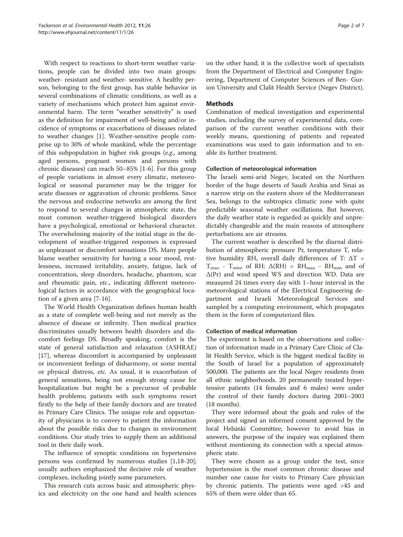With respect to reactions to short-term weather variations, people can be divided into two main groups: weather- resistant and weather- sensitive. A healthy person, belonging to the first group, has stable behavior in several combinations of climatic conditions, as well as a variety of mechanisms which protect him against environmental harm. The term "weather sensitivity" is used as the definition for impairment of well-being and/or incidence of symptoms or exacerbations of diseases related to weather changes [[1\]](#page-6-0). Weather-sensitive people comprise up to 30% of whole mankind, while the percentage of this subpopulation in higher risk groups (e.g., among aged persons, pregnant women and persons with chronic diseases) can reach 50–85% [\[1-6](#page-6-0)]. For this group of people variations in almost every climatic, meteorological or seasonal parameter may be the trigger for acute diseases or aggravation of chronic problems. Since the nervous and endocrine networks are among the first to respond to several changes in atmospheric state, the most common weather-triggered biological disorders have a psychological, emotional or behavioral character. The overwhelming majority of the initial stage in the development of weather-triggered responses is expressed as unpleasant or discomfort sensations DS. Many people blame weather sensitivity for having a sour mood, restlessness, increased irritability, anxiety, fatigue, lack of concentration, sleep disorders, headache, phantom, scar and rheumatic pain, etc., indicating different meteorological factors in accordance with the geographical location of a given area [[7-16\]](#page-6-0).

The World Health Organization defines human health as a state of complete well-being and not merely as the absence of disease or infirmity. Then medical practice discriminates usually between health disorders and discomfort feelings DS. Broadly speaking, comfort is the state of general satisfaction and relaxation (ASHRAE) [[17\]](#page-6-0), whereas discomfort is accompanied by unpleasant or inconvenient feelings of disharmony, or some mental or physical distress, etc. As usual, it is exacerbation of general sensations, being not enough strong cause for hospitalization but might be a precursor of probable health problems; patients with such symptoms resort firstly to the help of their family doctors and are treated in Primary Care Clinics. The unique role and opportunity of physicians is to convey to patient the information about the possible risks due to changes in environment conditions. Our study tries to supply them an additional tool in their daily work.

The influence of synoptic conditions on hypertensive persons was confirmed by numerous studies [[1,18-20](#page-6-0)]; usually authors emphasized the decisive role of weather complexes, including jointly some parameters.

This research cuts across basic and atmospheric physics and electricity on the one hand and health sciences on the other hand; it is the collective work of specialists from the Department of Electrical and Computer Engineering, Department of Computer Sciences of Ben- Gurion University and Clalit Health Service (Negev District).

# Methods

Combination of medical investigation and experimental studies, including the survey of experimental data, comparison of the current weather conditions with their weekly means, questioning of patients and repeated examinations was used to gain information and to enable its further treatment.

# Collection of meteorological information

The Israeli semi-arid Negev, located on the Northern border of the huge deserts of Saudi Arabia and Sinai as a narrow strip on the eastern shore of the Mediterranean Sea, belongs to the subtropics climatic zone with quite predictable seasonal weather oscillations. But however, the daily weather state is regarded as quickly and unpredictably changeable and the main reasons of atmosphere perturbations are air streams.

The current weather is described by the diurnal distribution of atmospheric pressure Pr, temperature T, relative humidity RH, overall daily differences of T:  $\Delta T$  =  $T_{\text{max}}$  -  $T_{\text{min}}$ , of RH:  $\Delta(RH)$  = RH<sub>max</sub> - RH<sub>min</sub> and of Δ(Pr) and wind speed WS and direction WD. Data are measured 24 times every day with 1–hour interval in the meteorological stations of the Electrical Engineering department and Israeli Meteorological Services and sampled by a computing environment, which propagates them in the form of computerized files.

# Collection of medical information

The experiment is based on the observations and collection of information made in a Primary Care Clinic of Clalit Health Service, which is the biggest medical facility in the South of Israel for a population of approximately 500,000. The patients are the local Negev residents from all ethnic neighborhoods. 20 permanently treated hypertensive patients (14 females and 6 males) were under the control of their family doctors during 2001–2003 (18 months).

They were informed about the goals and rules of the project and signed an informed consent approved by the local Helsinki Committee; however to avoid bias in answers, the purpose of the inquiry was explained them without mentioning its connection with a special atmospheric state.

They were chosen as a group under the test, since hypertension is the most common chronic disease and number one cause for visits to Primary Care physician by chronic patients. The patients were aged >45 and 65% of them were older than 65.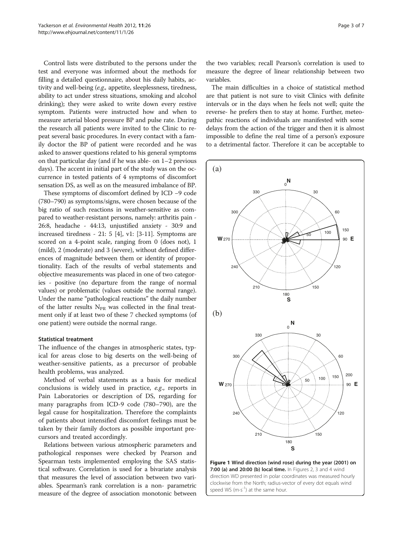<span id="page-2-0"></span>Control lists were distributed to the persons under the test and everyone was informed about the methods for filling a detailed questionnaire, about his daily habits, activity and well-being (e.g., appetite, sleeplessness, tiredness, ability to act under stress situations, smoking and alcohol drinking); they were asked to write down every restive symptom. Patients were instructed how and when to measure arterial blood pressure BP and pulse rate. During the research all patients were invited to the Clinic to repeat several basic procedures. In every contact with a family doctor the BP of patient were recorded and he was asked to answer questions related to his general symptoms on that particular day (and if he was able- on 1–2 previous days). The accent in initial part of the study was on the occurrence in tested patients of 4 symptoms of discomfort sensation DS, as well as on the measured imbalance of BP.

These symptoms of discomfort defined by ICD −9 code (780–790) as symptoms/signs, were chosen because of the big ratio of such reactions in weather-sensitive as compared to weather-resistant persons, namely: arthritis pain - 26:8, headache - 44:13, unjustified anxiety - 30:9 and increased tiredness - 21: 5 [[4\]](#page-6-0), v1: [\[3-11\]](#page-6-0). Symptoms are scored on a 4-point scale, ranging from 0 (does not), 1 (mild), 2 (moderate) and 3 (severe), without defined differences of magnitude between them or identity of proportionality. Each of the results of verbal statements and objective measurements was placed in one of two categories - positive (no departure from the range of normal values) or problematic (values outside the normal range). Under the name "pathological reactions" the daily number of the latter results  $N_{PR}$  was collected in the final treatment only if at least two of these 7 checked symptoms (of one patient) were outside the normal range.

# Statistical treatment

The influence of the changes in atmospheric states, typical for areas close to big deserts on the well-being of weather-sensitive patients, as a precursor of probable health problems, was analyzed.

Method of verbal statements as a basis for medical conclusions is widely used in practice, e.g., reports in Pain Laboratories or description of DS, regarding for many paragraphs from ICD-9 code (780–790), are the legal cause for hospitalization. Therefore the complaints of patients about intensified discomfort feelings must be taken by their family doctors as possible important precursors and treated accordingly.

Relations between various atmospheric parameters and pathological responses were checked by Pearson and Spearman tests implemented employing the SAS statistical software. Correlation is used for a bivariate analysis that measures the level of association between two variables. Spearman's rank correlation is a non- parametric measure of the degree of association monotonic between

the two variables; recall Pearson's correlation is used to measure the degree of linear relationship between two variables.

The main difficulties in a choice of statistical method are that patient is not sure to visit Clinics with definite intervals or in the days when he feels not well; quite the reverse- he prefers then to stay at home. Further, meteopathic reactions of individuals are manifested with some delays from the action of the trigger and then it is almost impossible to define the real time of a person's exposure to a detrimental factor. Therefore it can be acceptable to



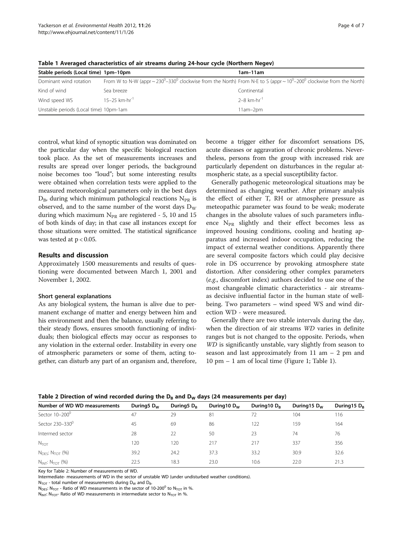| Stable periods (Local time) 1pm-10pm   |                                                                                                                                                             | 1am-11am                            |
|----------------------------------------|-------------------------------------------------------------------------------------------------------------------------------------------------------------|-------------------------------------|
| Dominant wind rotation                 | From W to N-W (appr ~ 230 <sup>0</sup> –330 <sup>0</sup> clockwise from the North) From N-E to S (appr ~ $10^0$ –200 <sup>0</sup> clockwise from the North) |                                     |
| Kind of wind                           | Sea breeze                                                                                                                                                  | Continental                         |
| Wind speed WS                          | $15-25$ km $\cdot$ hr <sup>-1</sup>                                                                                                                         | $2 - 8$ km $\cdot$ hr <sup>-1</sup> |
| Unstable periods (Local time) 10pm-1am |                                                                                                                                                             | $11am-2pm$                          |

<span id="page-3-0"></span>Table 1 Averaged characteristics of air streams during 24-hour cycle (Northern Negev)

control, what kind of synoptic situation was dominated on the particular day when the specific biological reaction took place. As the set of measurements increases and results are spread over longer periods, the background noise becomes too "loud"; but some interesting results were obtained when correlation tests were applied to the measured meteorological parameters only in the best days  $D_{\rm B}$ , during which minimum pathological reactions  $N_{\rm PR}$  is observed, and to the same number of the worst days  $D_W$ during which maximum  $N_{PR}$  are registered - 5, 10 and 15 of both kinds of day; in that case all instances except for those situations were omitted. The statistical significance was tested at  $p < 0.05$ .

# Results and discussion

Approximately 1500 measurements and results of questioning were documented between March 1, 2001 and November 1, 2002.

# Short general explanations

As any biological system, the human is alive due to permanent exchange of matter and energy between him and his environment and then the balance, usually referring to their steady flows, ensures smooth functioning of individuals; then biological effects may occur as responses to any violation in the external order. Instability in every one of atmospheric parameters or some of them, acting together, can disturb any part of an organism and, therefore, become a trigger either for discomfort sensations DS, acute diseases or aggravation of chronic problems. Nevertheless, persons from the group with increased risk are particularly dependent on disturbances in the regular atmospheric state, as a special susceptibility factor.

Generally pathogenic meteorological situations may be determined as changing weather. After primary analysis the effect of either T, RH or atmosphere pressure as meteopathic parameter was found to be weak; moderate changes in the absolute values of such parameters influence  $N_{PR}$  slightly and their effect becomes less as improved housing conditions, cooling and heating apparatus and increased indoor occupation, reducing the impact of external weather conditions. Apparently there are several composite factors which could play decisive role in DS occurrence by provoking atmosphere state distortion. After considering other complex parameters (e.g., discomfort index) authors decided to use one of the most changeable climatic characteristics - air streamsas decisive influential factor in the human state of wellbeing. Two parameters – wind speed WS and wind direction WD - were measured.

Generally there are two stable intervals during the day, when the direction of air streams WD varies in definite ranges but is not changed to the opposite. Periods, when WD is significantly unstable, vary slightly from season to season and last approximately from 11 am – 2 pm and 10 pm – 1 am of local time (Figure [1;](#page-2-0) Table 1).

| Number of WD WD measurements            | During 5 $D_W$ | During $D_B$ | During 10 D <sub>w</sub> | During 10 $D_R$ | During $15D_w$ | During $15D_B$ |
|-----------------------------------------|----------------|--------------|--------------------------|-----------------|----------------|----------------|
| Sector 10-200 <sup>0</sup>              | 47             | 29           | 81                       | 72              | 104            | 116            |
| Sector 230-330 <sup>0</sup>             | 45             | 69           | 86                       | 122             | 159            | 164            |
| Intermed sector                         | 28             | 22           | 50                       | 23              | 74             | 76             |
| $N_{\text{TOT}}$                        | 120            | 120          | 217                      | 217             | 337            | 356            |
| $N_{\text{DFS}}$ : $N_{\text{TOT}}$ (%) | 39.2           | 24.2         | 37.3                     | 33.2            | 30.9           | 32.6           |
| N <sub>INT</sub> : N <sub>TOT</sub> (%) | 22.5           | 18.3         | 23.0                     | 10.6            | 22.0           | 21.3           |

Table 2 Direction of wind recorded during the  $D_B$  and  $D_W$  days (24 measurements per day)

Key for Table 2: Number of measurements of WD.

Intermediate- measurements of WD in the sector of unstable WD (under undisturbed weather conditions).

 $N_{TOT}$  - total number of measurements during  $D_W$  and  $D_B$ 

N<sub>DES</sub>: N<sub>TOT</sub> - Ratio of WD measurements in the sector of 10-200<sup>0</sup> to N<sub>TOT</sub> in %.

 $N_{\text{INT}}$ : N<sub>TOT</sub>- Ratio of WD measurements in intermediate sector to N<sub>TOT</sub> in %.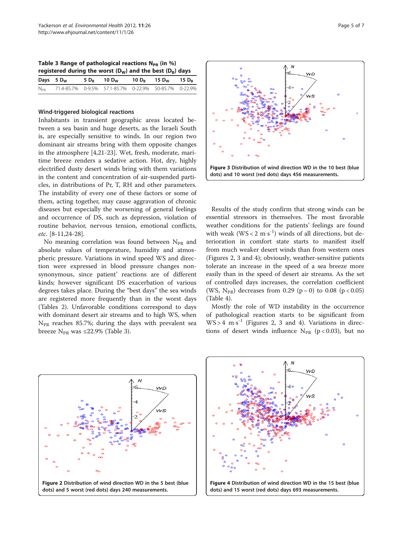<span id="page-4-0"></span>Table 3 Range of pathological reactions  $N_{PR}$  (in %) registered during the worst  $(D_w)$  and the best  $(D_B)$  days

| Days $5 D_W$ | $5 D_{\rm B}$ 10 $D_{\rm W}$ 10 $D_{\rm B}$ 15 $D_{\rm W}$ 15 $D_{\rm B}$ |  |  |
|--------------|---------------------------------------------------------------------------|--|--|
|              | N <sub>PR</sub> 71.4-85.7% 0-9.5% 57.1-85.7% 0-22.9% 50-85.7% 0-22.9%     |  |  |

# Wind-triggered biological reactions

Inhabitants in transient geographic areas located between a sea basin and huge deserts, as the Israeli South is, are especially sensitive to winds. In our region two dominant air streams bring with them opposite changes in the atmosphere [[4,21-23\]](#page-6-0). Wet, fresh, moderate, maritime breeze renders a sedative action. Hot, dry, highly electrified dusty desert winds bring with them variations in the content and concentration of air-suspended particles, in distributions of Pr, T, RH and other parameters. The instability of every one of these factors or some of them, acting together, may cause aggravation of chronic diseases but especially the worsening of general feelings and occurrence of DS, such as depression, violation of routine behavior, nervous tension, emotional conflicts, etc. [\[8](#page-6-0)-[11,24-28\]](#page-6-0).

No meaning correlation was found between  $N_{PR}$  and absolute values of temperature, humidity and atmospheric pressure. Variations in wind speed WS and direction were expressed in blood pressure changes nonsynonymous, since patient' reactions are of different kinds; however significant DS exacerbation of various degrees takes place. During the "best days" the sea winds are registered more frequently than in the worst days (Tables [2\)](#page-3-0). Unfavorable conditions correspond to days with dominant desert air streams and to high WS, when  $N_{PR}$  reaches 85.7%; during the days with prevalent sea breeze  $N_{PR}$  was ≤22.9% (Table 3).



Results of the study confirm that strong winds can be essential stressors in themselves. The most favorable weather conditions for the patients' feelings are found with weak  $(WS < 2 \text{ m·s}^{-1})$  winds of all directions, but deterioration in comfort state starts to manifest itself from much weaker desert winds than from western ones (Figures 2, 3 and 4); obviously, weather-sensitive patients tolerate an increase in the speed of a sea breeze more easily than in the speed of desert air streams. As the set of controlled days increases, the correlation coefficient (WS, N<sub>PR</sub>) decreases from 0.29 (p ~ 0) to 0.08 (p < 0.05) (Table [4\)](#page-5-0).

Mostly the role of WD instability in the occurrence of pathological reaction starts to be significant from  $WS > 4 \text{ m} \cdot \text{s}^{-1}$  (Figures 2, 3 and 4). Variations in directions of desert winds influence  $N_{PR}$  (p < 0.03), but no



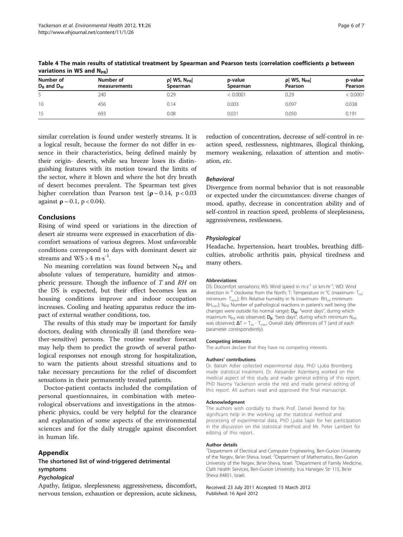| Number of<br>$D_B$ and $D_W$ | Number of<br>measurements | $\rho$ WS, N <sub>PR</sub><br>Spearman | p-value<br>Spearman | $\rho$ WS, N <sub>PR</sub><br>Pearson | p-value<br>Pearson |
|------------------------------|---------------------------|----------------------------------------|---------------------|---------------------------------------|--------------------|
|                              | 240                       | 0.29                                   | < 0.0001            | 0.29                                  | < 0.0001           |
| 10 <sup>°</sup>              | 456                       | 0.14                                   | 0.003               | 0.097                                 | 0.038              |
| 15                           | 693                       | 0.08                                   | 0.031               | 0.050                                 | 0.191              |

<span id="page-5-0"></span>Table 4 The main results of statistical treatment by Spearman and Pearson tests (correlation coefficients ρ between variations in WS and  $N_{\text{pp}}$ )

similar correlation is found under westerly streams. It is a logical result, because the former do not differ in essence in their characteristics, being defined mainly by their origin- deserts, while sea breeze loses its distinguishing features with its motion toward the limits of the sector, where it blown and where the hot dry breath of desert becomes prevalent. The Spearman test gives higher correlation than Pearson test ( $\rho \sim 0.14$ , p < 0.03 against  $\rho \sim 0.1$ , p < 0.04).

# Conclusions

Rising of wind speed or variations in the direction of desert air streams were expressed in exacerbation of discomfort sensations of various degrees. Most unfavorable conditions correspond to days with dominant desert air streams and  $WS > 4 \text{ m} \cdot \text{s}^{-1}$ .

No meaning correlation was found between  $N_{PR}$  and absolute values of temperature, humidity and atmospheric pressure. Though the influence of T and RH on the DS is expected, but their effect becomes less as housing conditions improve and indoor occupation increases. Cooling and heating apparatus reduce the impact of external weather conditions, too.

The results of this study may be important for family doctors, dealing with chronically ill (and therefore weather-sensitive) persons. The routine weather forecast may help them to predict the growth of several pathological responses not enough strong for hospitalization, to warn the patients about stressful situations and to take necessary precautions for the relief of discomfort sensations in their permanently treated patients.

Doctor-patient contacts included the compilation of personal questionnaires, in combination with meteorological observations and investigations in the atmospheric physics, could be very helpful for the clearance and explanation of some aspects of the environmental sciences and for the daily struggle against discomfort in human life.

# Appendix

# The shortened list of wind-triggered detrimental symptoms

Apathy, fatigue, sleeplessness; aggressiveness, discomfort, nervous tension, exhaustion or depression, acute sickness, reduction of concentration, decrease of self-control in reaction speed, restlessness, nightmares, illogical thinking, memory weakening, relaxation of attention and motivation, etc.

Divergence from normal behavior that is not reasonable or expected under the circumstances: diverse changes of mood, apathy, decrease in concentration ability and of self-control in reaction speed, problems of sleeplessness, aggressiveness, restlessness.

Headache, hypertension, heart troubles, breathing difficulties, atrobolic arthritis pain, physical tiredness and many others.

# Abbreviations

DS: Discomfort sensations; WS: Wind speed in m·s<sup>-1</sup> or km·hr<sup>-1</sup>; WD: Wind direction in  $^0$  clockwise from the North; T: Temperature in  $^{\circ}$ C (maximum- T<sub>m</sub>; minimum-  $T_{min}$ ); RH: Relative humidity in % (maximum- RH $_{min}$ ; minimum-RH<sub>min</sub>); N<sub>PR</sub>: Number of pathological reactions in patient's well being (the changes were outside his normal range); D<sub>w</sub>: "worst days", during which maximum N<sub>PR</sub> was observed;  $D_B$ : "best days", during which minimum N<sub>PR</sub> was observed;  $\Delta T = T_m - T_{min}$ : Overall daily differences of T (and of each parameter correspondently).

# Competing interests

The authors declare that they have no competing interests.

# Authors' contributions

Dr. Batiah Adler collected experimental data. PhD Ljuba Bromberg made statistical treatment. Dr. Alexander Aizenberg worked on the medical aspect of this study and made general editing of this report. PhD Naomy Yackerson wrote the rest and made general editing of this report. All authors read and approved the final manuscript.

# Acknowledgment

The authors wish cordially to thank Prof. Daniel Berend for his significant help in the working up the statistical method and processing of experimental data, PhD Ljuba Sapir for her participation in the discussion on the statistical method and Mr. Peter Lambert for editing of this report.

# Author details

<sup>1</sup>Department of Electrical and Computer Engineering, Ben-Gurion University of the Negev, Be'er-Sheva, Israel. <sup>2</sup>Department of Mathematics, Ben-Gurion University of the Negev, Be'er-Sheva, Israel. <sup>3</sup>Department of Family Medicine, Clalit Health Services, Ben-Gurion University, Irus Hanegev Str 115, Be'er Sheva 84851, Israel.

Received: 23 July 2011 Accepted: 15 March 2012 Published: 16 April 2012